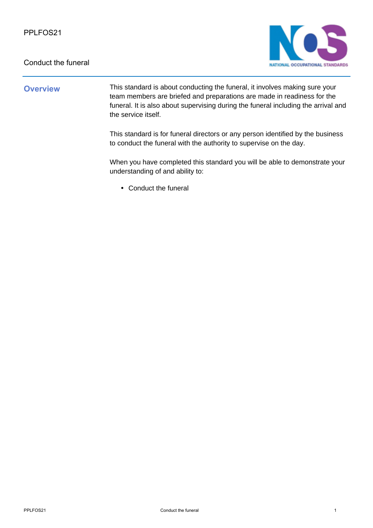

## **Overview** This standard is about conducting the funeral, it involves making sure your team members are briefed and preparations are made in readiness for the funeral. It is also about supervising during the funeral including the arrival and the service itself.

This standard is for funeral directors or any person identified by the business to conduct the funeral with the authority to supervise on the day.

When you have completed this standard you will be able to demonstrate your understanding of and ability to:

• Conduct the funeral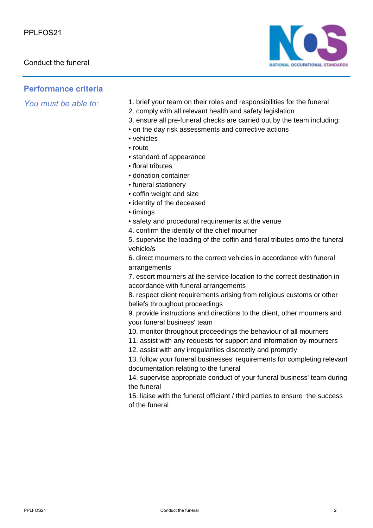

## **Performance criteria**

- *You must be able to:* 1. brief your team on their roles and responsibilities for the funeral
	- 2. comply with all relevant health and safety legislation
	- 3. ensure all pre-funeral checks are carried out by the team including:
	- on the day risk assessments and corrective actions
	- vehicles
	- route
	- standard of appearance
	- floral tributes
	- donation container
	- funeral stationery
	- coffin weight and size
	- identity of the deceased
	- timings
	- safety and procedural requirements at the venue
	- 4. confirm the identity of the chief mourner

5. supervise the loading of the coffin and floral tributes onto the funeral vehicle/s

6. direct mourners to the correct vehicles in accordance with funeral arrangements

7. escort mourners at the service location to the correct destination in accordance with funeral arrangements

8. respect client requirements arising from religious customs or other beliefs throughout proceedings

9. provide instructions and directions to the client, other mourners and your funeral business' team

10. monitor throughout proceedings the behaviour of all mourners

- 11. assist with any requests for support and information by mourners
- 12. assist with any irregularities discreetly and promptly

13. follow your funeral businesses' requirements for completing relevant documentation relating to the funeral

14. supervise appropriate conduct of your funeral business' team during the funeral

15. liaise with the funeral officiant / third parties to ensure the success of the funeral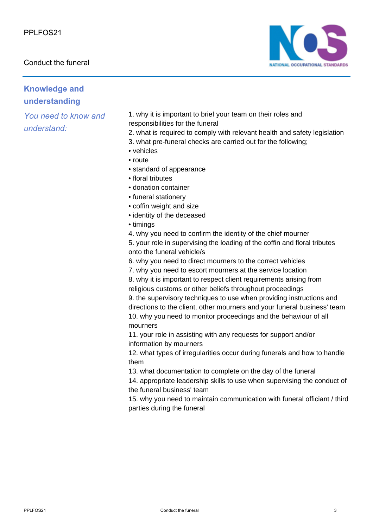

# **Knowledge and understanding**

*You need to know and understand:*

1. why it is important to brief your team on their roles and responsibilities for the funeral

2. what is required to comply with relevant health and safety legislation

3. what pre-funeral checks are carried out for the following;

- vehicles
- route
- standard of appearance
- floral tributes
- donation container
- funeral stationery
- coffin weight and size
- identity of the deceased
- timings

4. why you need to confirm the identity of the chief mourner 5. your role in supervising the loading of the coffin and floral tributes onto the funeral vehicle/s

6. why you need to direct mourners to the correct vehicles

7. why you need to escort mourners at the service location

8. why it is important to respect client requirements arising from religious customs or other beliefs throughout proceedings

9. the supervisory techniques to use when providing instructions and directions to the client, other mourners and your funeral business' team 10. why you need to monitor proceedings and the behaviour of all mourners

11. your role in assisting with any requests for support and/or information by mourners

12. what types of irregularities occur during funerals and how to handle them

13. what documentation to complete on the day of the funeral

14. appropriate leadership skills to use when supervising the conduct of the funeral business' team

15. why you need to maintain communication with funeral officiant / third parties during the funeral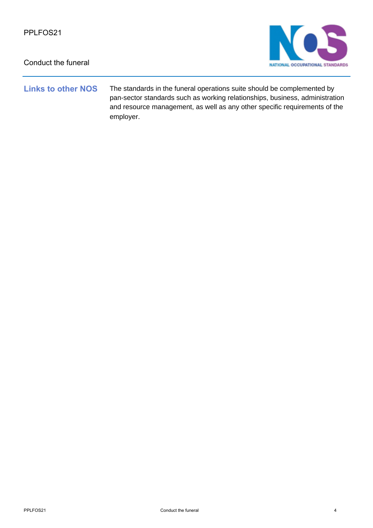

**Links to other NOS** The standards in the funeral operations suite should be complemented by pan-sector standards such as working relationships, business, administration and resource management, as well as any other specific requirements of the employer.